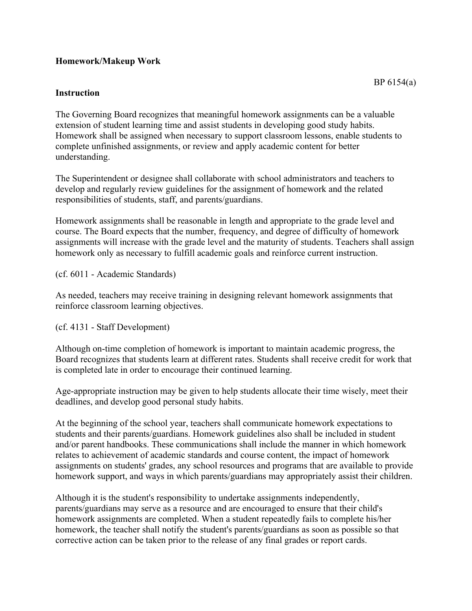## **Homework/Makeup Work**

## **Instruction**

The Governing Board recognizes that meaningful homework assignments can be a valuable extension of student learning time and assist students in developing good study habits. Homework shall be assigned when necessary to support classroom lessons, enable students to complete unfinished assignments, or review and apply academic content for better understanding.

The Superintendent or designee shall collaborate with school administrators and teachers to develop and regularly review guidelines for the assignment of homework and the related responsibilities of students, staff, and parents/guardians.

Homework assignments shall be reasonable in length and appropriate to the grade level and course. The Board expects that the number, frequency, and degree of difficulty of homework assignments will increase with the grade level and the maturity of students. Teachers shall assign homework only as necessary to fulfill academic goals and reinforce current instruction.

(cf. 6011 - Academic Standards)

As needed, teachers may receive training in designing relevant homework assignments that reinforce classroom learning objectives.

(cf. 4131 - Staff Development)

Although on-time completion of homework is important to maintain academic progress, the Board recognizes that students learn at different rates. Students shall receive credit for work that is completed late in order to encourage their continued learning.

Age-appropriate instruction may be given to help students allocate their time wisely, meet their deadlines, and develop good personal study habits.

At the beginning of the school year, teachers shall communicate homework expectations to students and their parents/guardians. Homework guidelines also shall be included in student and/or parent handbooks. These communications shall include the manner in which homework relates to achievement of academic standards and course content, the impact of homework assignments on students' grades, any school resources and programs that are available to provide homework support, and ways in which parents/guardians may appropriately assist their children.

Although it is the student's responsibility to undertake assignments independently, parents/guardians may serve as a resource and are encouraged to ensure that their child's homework assignments are completed. When a student repeatedly fails to complete his/her homework, the teacher shall notify the student's parents/guardians as soon as possible so that corrective action can be taken prior to the release of any final grades or report cards.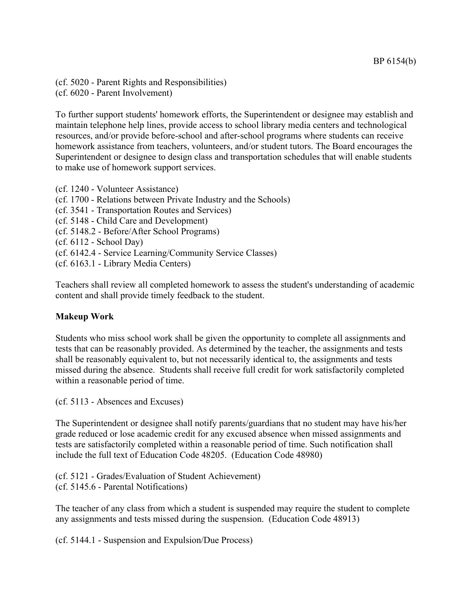(cf. 5020 - Parent Rights and Responsibilities) (cf. 6020 - Parent Involvement)

To further support students' homework efforts, the Superintendent or designee may establish and maintain telephone help lines, provide access to school library media centers and technological resources, and/or provide before-school and after-school programs where students can receive homework assistance from teachers, volunteers, and/or student tutors. The Board encourages the Superintendent or designee to design class and transportation schedules that will enable students to make use of homework support services.

- (cf. 1240 Volunteer Assistance)
- (cf. 1700 Relations between Private Industry and the Schools)
- (cf. 3541 Transportation Routes and Services)
- (cf. 5148 Child Care and Development)
- (cf. 5148.2 Before/After School Programs)
- (cf. 6112 School Day)
- (cf. 6142.4 Service Learning/Community Service Classes)
- (cf. 6163.1 Library Media Centers)

Teachers shall review all completed homework to assess the student's understanding of academic content and shall provide timely feedback to the student.

## **Makeup Work**

Students who miss school work shall be given the opportunity to complete all assignments and tests that can be reasonably provided. As determined by the teacher, the assignments and tests shall be reasonably equivalent to, but not necessarily identical to, the assignments and tests missed during the absence. Students shall receive full credit for work satisfactorily completed within a reasonable period of time.

(cf. 5113 - Absences and Excuses)

The Superintendent or designee shall notify parents/guardians that no student may have his/her grade reduced or lose academic credit for any excused absence when missed assignments and tests are satisfactorily completed within a reasonable period of time. Such notification shall include the full text of Education Code 48205. (Education Code 48980)

(cf. 5121 - Grades/Evaluation of Student Achievement) (cf. 5145.6 - Parental Notifications)

The teacher of any class from which a student is suspended may require the student to complete any assignments and tests missed during the suspension. (Education Code 48913)

(cf. 5144.1 - Suspension and Expulsion/Due Process)